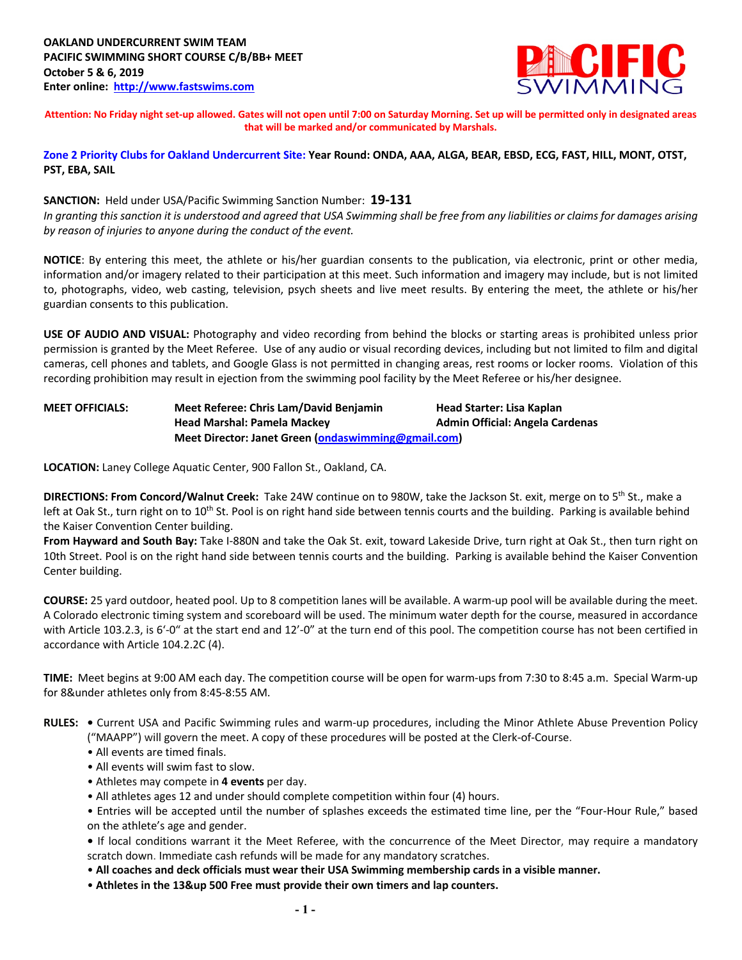

**Attention: No Friday night set-up allowed. Gates will not open until 7:00 on Saturday Morning. Set up will be permitted only in designated areas that will be marked and/or communicated by Marshals.** 

**Zone 2 Priority Clubs for Oakland Undercurrent Site: Year Round: ONDA, AAA, ALGA, BEAR, EBSD, ECG, FAST, HILL, MONT, OTST, PST, EBA, SAIL**

**SANCTION:** Held under USA/Pacific Swimming Sanction Number: **19-131** *In granting this sanction it is understood and agreed that USA Swimming shall be free from any liabilities or claims for damages arising by reason of injuries to anyone during the conduct of the event.*

**NOTICE**: By entering this meet, the athlete or his/her guardian consents to the publication, via electronic, print or other media, information and/or imagery related to their participation at this meet. Such information and imagery may include, but is not limited to, photographs, video, web casting, television, psych sheets and live meet results. By entering the meet, the athlete or his/her guardian consents to this publication.

**USE OF AUDIO AND VISUAL:** Photography and video recording from behind the blocks or starting areas is prohibited unless prior permission is granted by the Meet Referee. Use of any audio or visual recording devices, including but not limited to film and digital cameras, cell phones and tablets, and Google Glass is not permitted in changing areas, rest rooms or locker rooms. Violation of this recording prohibition may result in ejection from the swimming pool facility by the Meet Referee or his/her designee.

**MEET OFFICIALS: Meet Referee: Chris Lam/David Benjamin Head Starter: Lisa Kaplan Head Marshal: Pamela Mackey Admin Official: Angela Cardenas Meet Director: Janet Green (ondaswimming@gmail.com)**

**LOCATION:** Laney College Aquatic Center, 900 Fallon St., Oakland, CA.

**DIRECTIONS: From Concord/Walnut Creek:** Take 24W continue on to 980W, take the Jackson St. exit, merge on to 5th St., make a left at Oak St., turn right on to 10<sup>th</sup> St. Pool is on right hand side between tennis courts and the building. Parking is available behind the Kaiser Convention Center building.

**From Hayward and South Bay:** Take I-880N and take the Oak St. exit, toward Lakeside Drive, turn right at Oak St., then turn right on 10th Street. Pool is on the right hand side between tennis courts and the building. Parking is available behind the Kaiser Convention Center building.

**COURSE:** 25 yard outdoor, heated pool. Up to 8 competition lanes will be available. A warm-up pool will be available during the meet. A Colorado electronic timing system and scoreboard will be used. The minimum water depth for the course, measured in accordance with Article 103.2.3, is 6'-0" at the start end and 12'-0" at the turn end of this pool. The competition course has not been certified in accordance with Article 104.2.2C (4).

**TIME:** Meet begins at 9:00 AM each day. The competition course will be open for warm-ups from 7:30 to 8:45 a.m. Special Warm-up for 8&under athletes only from 8:45-8:55 AM.

**RULES: •** Current USA and Pacific Swimming rules and warm-up procedures, including the Minor Athlete Abuse Prevention Policy ("MAAPP") will govern the meet. A copy of these procedures will be posted at the Clerk-of-Course.

- All events are timed finals.
- All events will swim fast to slow.
- Athletes may compete in **4 events** per day.
- All athletes ages 12 and under should complete competition within four (4) hours.

• Entries will be accepted until the number of splashes exceeds the estimated time line, per the "Four-Hour Rule," based on the athlete's age and gender.

**•** If local conditions warrant it the Meet Referee, with the concurrence of the Meet Director, may require a mandatory scratch down. Immediate cash refunds will be made for any mandatory scratches.

• **All coaches and deck officials must wear their USA Swimming membership cards in a visible manner.**

• **Athletes in the 13&up 500 Free must provide their own timers and lap counters.**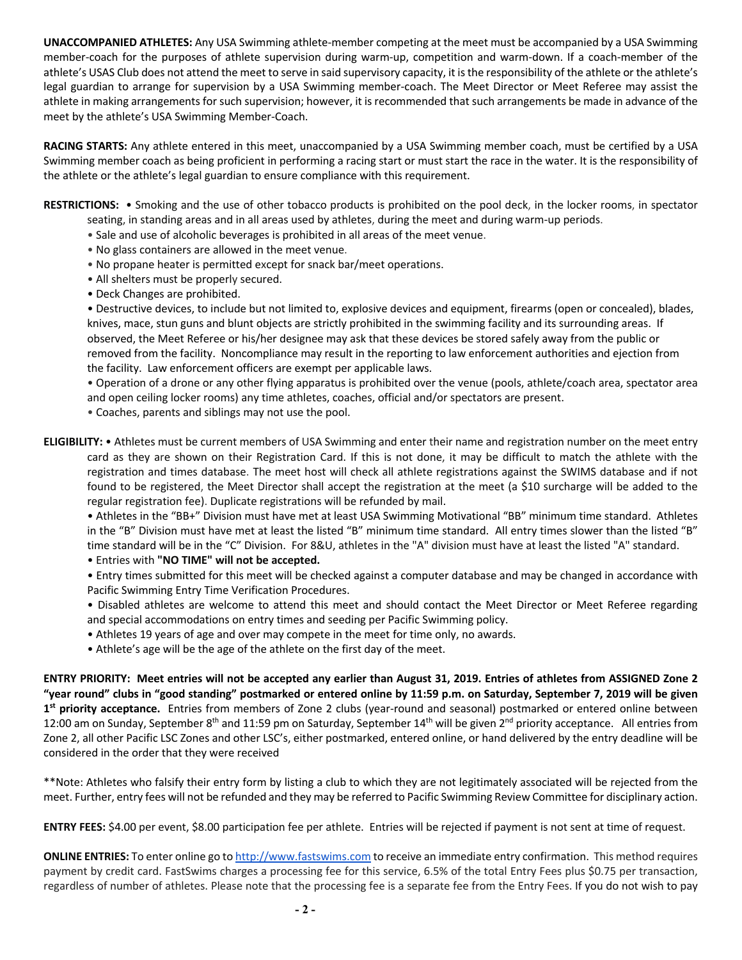**UNACCOMPANIED ATHLETES:** Any USA Swimming athlete-member competing at the meet must be accompanied by a USA Swimming member-coach for the purposes of athlete supervision during warm-up, competition and warm-down. If a coach-member of the athlete's USAS Club does not attend the meet to serve in said supervisory capacity, it is the responsibility of the athlete or the athlete's legal guardian to arrange for supervision by a USA Swimming member-coach. The Meet Director or Meet Referee may assist the athlete in making arrangements for such supervision; however, it is recommended that such arrangements be made in advance of the meet by the athlete's USA Swimming Member-Coach.

**RACING STARTS:** Any athlete entered in this meet, unaccompanied by a USA Swimming member coach, must be certified by a USA Swimming member coach as being proficient in performing a racing start or must start the race in the water. It is the responsibility of the athlete or the athlete's legal guardian to ensure compliance with this requirement.

**RESTRICTIONS:** • Smoking and the use of other tobacco products is prohibited on the pool deck, in the locker rooms, in spectator seating, in standing areas and in all areas used by athletes, during the meet and during warm-up periods.

- Sale and use of alcoholic beverages is prohibited in all areas of the meet venue.
- No glass containers are allowed in the meet venue.
- No propane heater is permitted except for snack bar/meet operations.
- All shelters must be properly secured.
- Deck Changes are prohibited.

• Destructive devices, to include but not limited to, explosive devices and equipment, firearms (open or concealed), blades, knives, mace, stun guns and blunt objects are strictly prohibited in the swimming facility and its surrounding areas. If observed, the Meet Referee or his/her designee may ask that these devices be stored safely away from the public or removed from the facility. Noncompliance may result in the reporting to law enforcement authorities and ejection from the facility. Law enforcement officers are exempt per applicable laws.

• Operation of a drone or any other flying apparatus is prohibited over the venue (pools, athlete/coach area, spectator area and open ceiling locker rooms) any time athletes, coaches, official and/or spectators are present.

- Coaches, parents and siblings may not use the pool.
- **ELIGIBILITY:** Athletes must be current members of USA Swimming and enter their name and registration number on the meet entry card as they are shown on their Registration Card. If this is not done, it may be difficult to match the athlete with the registration and times database. The meet host will check all athlete registrations against the SWIMS database and if not found to be registered, the Meet Director shall accept the registration at the meet (a \$10 surcharge will be added to the regular registration fee). Duplicate registrations will be refunded by mail.

• Athletes in the "BB+" Division must have met at least USA Swimming Motivational "BB" minimum time standard. Athletes in the "B" Division must have met at least the listed "B" minimum time standard. All entry times slower than the listed "B" time standard will be in the "C" Division. For 8&U, athletes in the "A" division must have at least the listed "A" standard.

• Entries with **"NO TIME" will not be accepted.**

- Entry times submitted for this meet will be checked against a computer database and may be changed in accordance with Pacific Swimming Entry Time Verification Procedures.
- Disabled athletes are welcome to attend this meet and should contact the Meet Director or Meet Referee regarding and special accommodations on entry times and seeding per Pacific Swimming policy.
- Athletes 19 years of age and over may compete in the meet for time only, no awards.
- Athlete's age will be the age of the athlete on the first day of the meet.

**ENTRY PRIORITY: Meet entries will not be accepted any earlier than August 31, 2019. Entries of athletes from ASSIGNED Zone 2 "year round" clubs in "good standing" postmarked or entered online by 11:59 p.m. on Saturday, September 7, 2019 will be given 1st priority acceptance.** Entries from members of Zone 2 clubs (year-round and seasonal) postmarked or entered online between 12:00 am on Sunday, September 8<sup>th</sup> and 11:59 pm on Saturday, September 14<sup>th</sup> will be given 2<sup>nd</sup> priority acceptance. All entries from Zone 2, all other Pacific LSC Zones and other LSC's, either postmarked, entered online, or hand delivered by the entry deadline will be considered in the order that they were received

\*\*Note: Athletes who falsify their entry form by listing a club to which they are not legitimately associated will be rejected from the meet. Further, entry fees will not be refunded and they may be referred to Pacific Swimming Review Committee for disciplinary action.

**ENTRY FEES:** \$4.00 per event, \$8.00 participation fee per athlete. Entries will be rejected if payment is not sent at time of request.

**ONLINE ENTRIES:** To enter online go to http://www.fastswims.com to receive an immediate entry confirmation. This method requires payment by credit card. FastSwims charges a processing fee for this service, 6.5% of the total Entry Fees plus \$0.75 per transaction, regardless of number of athletes. Please note that the processing fee is a separate fee from the Entry Fees. If you do not wish to pay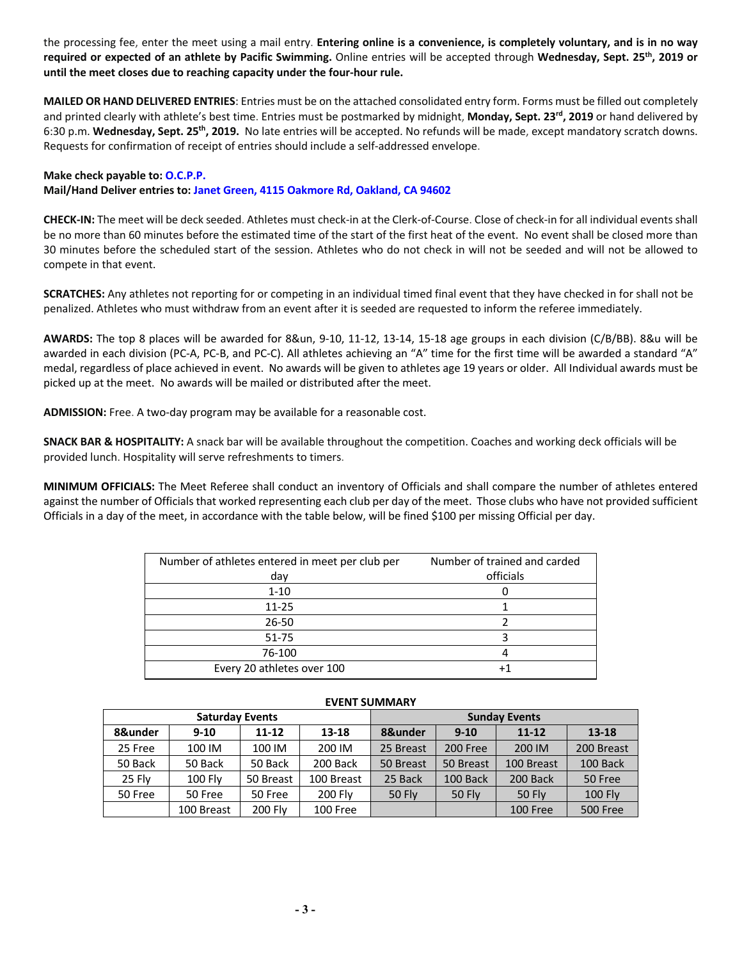the processing fee, enter the meet using a mail entry. **Entering online is a convenience, is completely voluntary, and is in no way required or expected of an athlete by Pacific Swimming.** Online entries will be accepted through **Wednesday, Sept. 25th, 2019 or until the meet closes due to reaching capacity under the four-hour rule.** 

**MAILED OR HAND DELIVERED ENTRIES**: Entries must be on the attached consolidated entry form. Forms must be filled out completely and printed clearly with athlete's best time. Entries must be postmarked by midnight, **Monday, Sept. 23rd, 2019** or hand delivered by 6:30 p.m. **Wednesday, Sept. 25th, 2019.** No late entries will be accepted. No refunds will be made, except mandatory scratch downs. Requests for confirmation of receipt of entries should include a self-addressed envelope.

## **Make check payable to: O.C.P.P. Mail/Hand Deliver entries to: Janet Green, 4115 Oakmore Rd, Oakland, CA 94602**

**CHECK-IN:** The meet will be deck seeded. Athletes must check-in at the Clerk-of-Course. Close of check-in for all individual events shall be no more than 60 minutes before the estimated time of the start of the first heat of the event. No event shall be closed more than 30 minutes before the scheduled start of the session. Athletes who do not check in will not be seeded and will not be allowed to compete in that event.

**SCRATCHES:** Any athletes not reporting for or competing in an individual timed final event that they have checked in for shall not be penalized. Athletes who must withdraw from an event after it is seeded are requested to inform the referee immediately.

**AWARDS:** The top 8 places will be awarded for 8&un, 9-10, 11-12, 13-14, 15-18 age groups in each division (C/B/BB). 8&u will be awarded in each division (PC-A, PC-B, and PC-C). All athletes achieving an "A" time for the first time will be awarded a standard "A" medal, regardless of place achieved in event. No awards will be given to athletes age 19 years or older. All Individual awards must be picked up at the meet. No awards will be mailed or distributed after the meet.

**ADMISSION:** Free. A two-day program may be available for a reasonable cost.

**SNACK BAR & HOSPITALITY:** A snack bar will be available throughout the competition. Coaches and working deck officials will be provided lunch. Hospitality will serve refreshments to timers.

**MINIMUM OFFICIALS:** The Meet Referee shall conduct an inventory of Officials and shall compare the number of athletes entered against the number of Officials that worked representing each club per day of the meet. Those clubs who have not provided sufficient Officials in a day of the meet, in accordance with the table below, will be fined \$100 per missing Official per day.

| Number of trained and carded |
|------------------------------|
| officials                    |
|                              |
|                              |
|                              |
|                              |
|                              |
|                              |
|                              |

| <u>LVLIVI JUIVIIVAILI</u> |                        |           |                |                      |               |               |                 |  |  |  |  |
|---------------------------|------------------------|-----------|----------------|----------------------|---------------|---------------|-----------------|--|--|--|--|
|                           | <b>Saturday Events</b> |           |                | <b>Sunday Events</b> |               |               |                 |  |  |  |  |
| 8&under                   | $9 - 10$               | $11 - 12$ | $13 - 18$      | 8&under              | $9 - 10$      | $11 - 12$     | 13-18           |  |  |  |  |
| 25 Free                   | 100 IM                 | 100 IM    | 200 IM         | 25 Breast            | 200 Free      | 200 IM        | 200 Breast      |  |  |  |  |
| 50 Back                   | 50 Back                | 50 Back   | 200 Back       | 50 Breast            | 50 Breast     | 100 Breast    | 100 Back        |  |  |  |  |
| 25 Fly                    | 100 Fly                | 50 Breast | 100 Breast     | 25 Back              | 100 Back      | 200 Back      | 50 Free         |  |  |  |  |
| 50 Free                   | 50 Free                | 50 Free   | <b>200 Flv</b> | <b>50 Flv</b>        | <b>50 Fly</b> | <b>50 Flv</b> | <b>100 Fly</b>  |  |  |  |  |
|                           | 100 Breast             | 200 Fly   | 100 Free       |                      |               | 100 Free      | <b>500 Free</b> |  |  |  |  |

## **EVENT SUMMARY**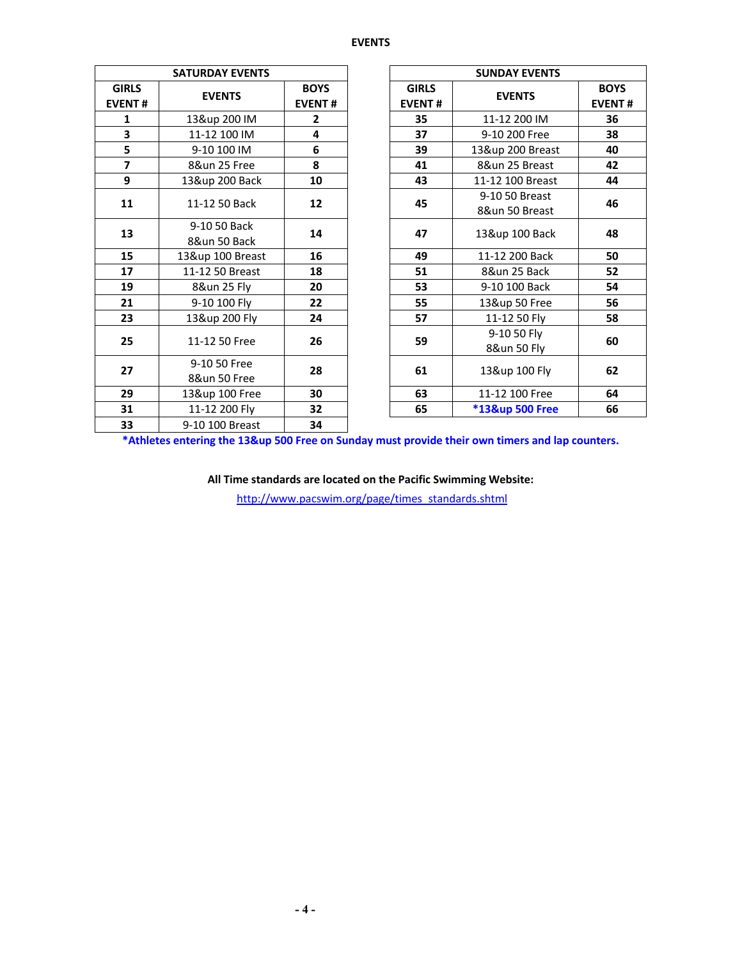## **EVENTS**

|                               | <b>SATURDAY EVENTS</b>       |                              |                               | <b>SUNDAY EVENTS</b>             |                              |  |  |
|-------------------------------|------------------------------|------------------------------|-------------------------------|----------------------------------|------------------------------|--|--|
| <b>GIRLS</b><br><b>EVENT#</b> | <b>EVENTS</b>                | <b>BOYS</b><br><b>EVENT#</b> | <b>GIRLS</b><br><b>EVENT#</b> | <b>EVENTS</b>                    | <b>BOYS</b><br><b>EVENT#</b> |  |  |
| 1                             | 13&up 200 IM                 | $\mathbf{2}$                 | 35                            | 11-12 200 IM                     | 36                           |  |  |
| 3                             | 11-12 100 IM                 | 4                            | 37                            | 9-10 200 Free                    | 38                           |  |  |
| 5                             | 9-10 100 IM                  | 6                            | 39                            | 13&up 200 Breast                 | 40                           |  |  |
| $\overline{\mathbf{z}}$       | 8&un 25 Free                 | 8                            | 41                            | 8&un 25 Breast                   | 42                           |  |  |
| 9                             | 13&up 200 Back               | 10                           | 43                            | 11-12 100 Breast                 | 44                           |  |  |
| 11                            | 11-12 50 Back                | 12                           | 45                            | 9-10 50 Breast<br>8&un 50 Breast | 46                           |  |  |
| 13                            | 9-10 50 Back<br>8&un 50 Back | 14                           | 47                            | 13&up 100 Back                   | 48                           |  |  |
| 15                            | 13&up 100 Breast             | 16                           | 49                            | 11-12 200 Back                   | 50                           |  |  |
| 17                            | 11-12 50 Breast              | 18                           | 51                            | 8&un 25 Back                     | 52                           |  |  |
| 19                            | 8&un 25 Fly                  | 20                           | 53                            | 9-10 100 Back                    | 54                           |  |  |
| 21                            | 9-10 100 Fly                 | 22                           | 55                            | 13&up 50 Free                    | 56                           |  |  |
| 23                            | 13&up 200 Fly                | 24                           | 57                            | 11-12 50 Fly                     | 58                           |  |  |
| 25                            | 11-12 50 Free                | 26                           | 59                            | 9-10 50 Fly<br>8&un 50 Fly       | 60                           |  |  |
| 27                            | 9-10 50 Free<br>8&un 50 Free | 28                           | 61                            | 13&up 100 Fly                    | 62                           |  |  |
| 29                            | 13&up 100 Free               | 30                           | 63                            | 11-12 100 Free                   | 64                           |  |  |
| 31                            | 11-12 200 Fly                | 32                           | 65                            | *13&up 500 Free                  | 66                           |  |  |
| 33                            | 9-10 100 Breast              | 34                           |                               |                                  |                              |  |  |

**\*Athletes entering the 13&up 500 Free on Sunday must provide their own timers and lap counters.**

**All Time standards are located on the Pacific Swimming Website:**

http://www.pacswim.org/page/times\_standards.shtml